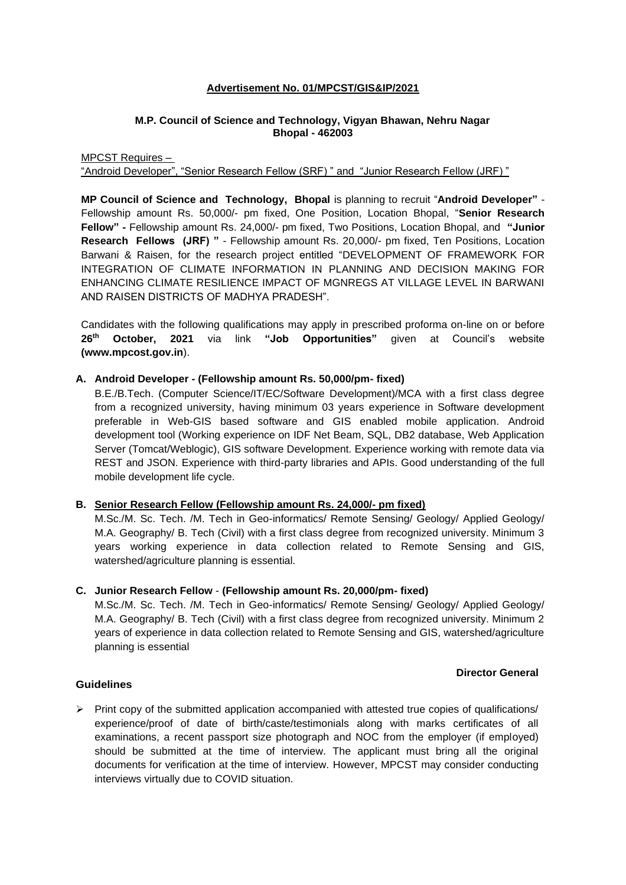# **Advertisement No. 01/MPCST/GIS&IP/2021**

# **M.P. Council of Science and Technology, Vigyan Bhawan, Nehru Nagar Bhopal - 462003**

MPCST Requires –

"Android Developer", "Senior Research Fellow (SRF)" and "Junior Research Fellow (JRF)"

**MP Council of Science and Technology, Bhopal** is planning to recruit "**Android Developer"** - Fellowship amount Rs. 50,000/- pm fixed, One Position, Location Bhopal, "**Senior Research Fellow" -** Fellowship amount Rs. 24,000/- pm fixed, Two Positions, Location Bhopal, and **"Junior Research Fellows (JRF) "** - Fellowship amount Rs. 20,000/- pm fixed, Ten Positions, Location Barwani & Raisen, for the research project entitled "DEVELOPMENT OF FRAMEWORK FOR INTEGRATION OF CLIMATE INFORMATION IN PLANNING AND DECISION MAKING FOR ENHANCING CLIMATE RESILIENCE IMPACT OF MGNREGS AT VILLAGE LEVEL IN BARWANI AND RAISEN DISTRICTS OF MADHYA PRADESH".

Candidates with the following qualifications may apply in prescribed proforma on-line on or before **26th October, 2021** via link **"Job Opportunities"** given at Council's website **(www.mpcost.gov.in**).

### **A. Android Developer - (Fellowship amount Rs. 50,000/pm- fixed)**

B.E./B.Tech. (Computer Science/IT/EC/Software Development)/MCA with a first class degree from a recognized university, having minimum 03 years experience in Software development preferable in Web-GIS based software and GIS enabled mobile application. Android development tool (Working experience on IDF Net Beam, SQL, DB2 database, Web Application Server (Tomcat/Weblogic), GIS software Development. Experience working with remote data via REST and JSON. Experience with third-party libraries and APIs. Good understanding of the full mobile development life cycle.

#### **B. Senior Research Fellow (Fellowship amount Rs. 24,000/- pm fixed)**

M.Sc./M. Sc. Tech. /M. Tech in Geo-informatics/ Remote Sensing/ Geology/ Applied Geology/ M.A. Geography/ B. Tech (Civil) with a first class degree from recognized university. Minimum 3 years working experience in data collection related to Remote Sensing and GIS, watershed/agriculture planning is essential.

# **C. Junior Research Fellow** - **(Fellowship amount Rs. 20,000/pm- fixed)**

M.Sc./M. Sc. Tech. /M. Tech in Geo-informatics/ Remote Sensing/ Geology/ Applied Geology/ M.A. Geography/ B. Tech (Civil) with a first class degree from recognized university. Minimum 2 years of experience in data collection related to Remote Sensing and GIS, watershed/agriculture planning is essential

#### **Director General**

### **Guidelines**

 $\triangleright$  Print copy of the submitted application accompanied with attested true copies of qualifications/ experience/proof of date of birth/caste/testimonials along with marks certificates of all examinations, a recent passport size photograph and NOC from the employer (if employed) should be submitted at the time of interview. The applicant must bring all the original documents for verification at the time of interview. However, MPCST may consider conducting interviews virtually due to COVID situation.